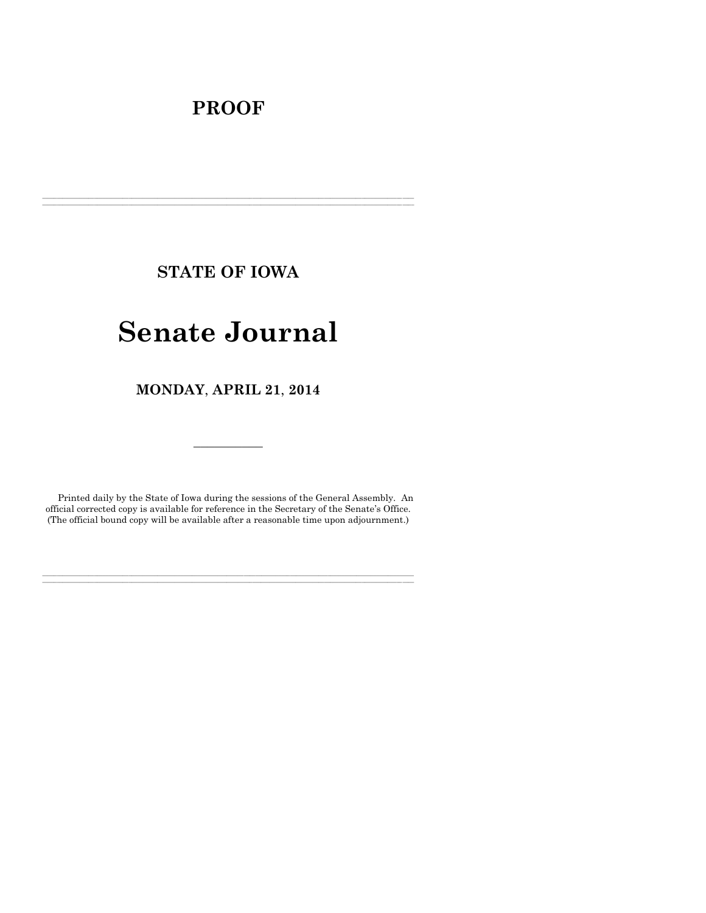# **PROOF**

**STATE OF IOWA**

**\_\_\_\_\_\_\_\_\_\_\_\_\_\_\_\_\_\_\_\_\_\_\_\_\_\_\_\_\_\_\_\_\_\_\_\_\_\_\_\_\_\_\_\_\_\_\_\_\_\_\_\_\_\_\_\_\_\_\_\_\_\_\_\_\_\_\_\_\_\_\_\_\_\_\_\_\_\_\_\_\_\_\_\_\_\_\_\_\_\_\_\_\_\_\_\_\_\_\_\_\_\_\_\_\_\_\_\_\_\_\_\_\_\_\_\_\_\_\_\_\_\_\_\_\_\_\_\_\_ \_\_\_\_\_\_\_\_\_\_\_\_\_\_\_\_\_\_\_\_\_\_\_\_\_\_\_\_\_\_\_\_\_\_\_\_\_\_\_\_\_\_\_\_\_\_\_\_\_\_\_\_\_\_\_\_\_\_\_\_\_\_\_\_\_\_\_\_\_\_\_\_\_\_\_\_\_\_\_\_\_\_\_\_\_\_\_\_\_\_\_\_\_\_\_\_\_\_\_\_\_\_\_\_\_\_\_\_\_\_\_\_\_\_\_\_\_\_\_\_\_\_\_\_\_\_\_\_\_**

# **Senate Journal**

**MONDAY**, **APRIL 21**, **2014**

Printed daily by the State of Iowa during the sessions of the General Assembly. An official corrected copy is available for reference in the Secretary of the Senate's Office. (The official bound copy will be available after a reasonable time upon adjournment.)

**\_\_\_\_\_\_\_\_\_\_\_\_\_\_\_\_\_\_\_\_\_\_\_\_\_\_\_\_\_\_\_\_\_\_\_\_\_\_\_\_\_\_\_\_\_\_\_\_\_\_\_\_\_\_\_\_\_\_\_\_\_\_\_\_\_\_\_\_\_\_\_\_\_\_\_\_\_\_\_\_\_\_\_\_\_\_\_\_\_\_\_\_\_\_\_\_\_\_\_\_\_\_\_\_\_\_\_\_\_\_\_\_\_\_\_\_\_\_\_\_\_\_\_\_\_\_\_\_\_ \_\_\_\_\_\_\_\_\_\_\_\_\_\_\_\_\_\_\_\_\_\_\_\_\_\_\_\_\_\_\_\_\_\_\_\_\_\_\_\_\_\_\_\_\_\_\_\_\_\_\_\_\_\_\_\_\_\_\_\_\_\_\_\_\_\_\_\_\_\_\_\_\_\_\_\_\_\_\_\_\_\_\_\_\_\_\_\_\_\_\_\_\_\_\_\_\_\_\_\_\_\_\_\_\_\_\_\_\_\_\_\_\_\_\_\_\_\_\_\_\_\_\_\_\_\_\_\_\_**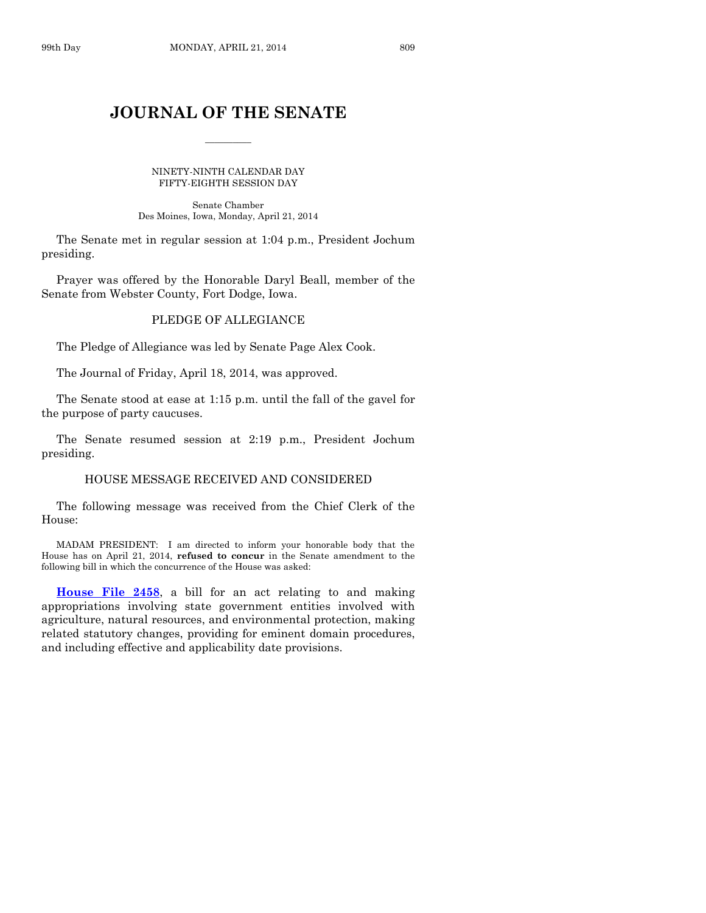# **JOURNAL OF THE SENATE**

 $\frac{1}{2}$ 

NINETY-NINTH CALENDAR DAY FIFTY-EIGHTH SESSION DAY

Senate Chamber Des Moines, Iowa, Monday, April 21, 2014

The Senate met in regular session at 1:04 p.m., President Jochum presiding.

Prayer was offered by the Honorable Daryl Beall, member of the Senate from Webster County, Fort Dodge, Iowa.

# PLEDGE OF ALLEGIANCE

The Pledge of Allegiance was led by Senate Page Alex Cook.

The Journal of Friday, April 18, 2014, was approved.

The Senate stood at ease at 1:15 p.m. until the fall of the gavel for the purpose of party caucuses.

The Senate resumed session at 2:19 p.m., President Jochum presiding.

## HOUSE MESSAGE RECEIVED AND CONSIDERED

The following message was received from the Chief Clerk of the House:

MADAM PRESIDENT: I am directed to inform your honorable body that the House has on April 21, 2014, **refused to concur** in the Senate amendment to the following bill in which the concurrence of the House was asked:

**[House File 2458](http://coolice.legis.iowa.gov/Cool-ICE/default.asp?Category=billinfo&Service=Billbook&frame=1&GA=85&hbill=HF2458)**, a bill for an act relating to and making appropriations involving state government entities involved with agriculture, natural resources, and environmental protection, making related statutory changes, providing for eminent domain procedures, and including effective and applicability date provisions.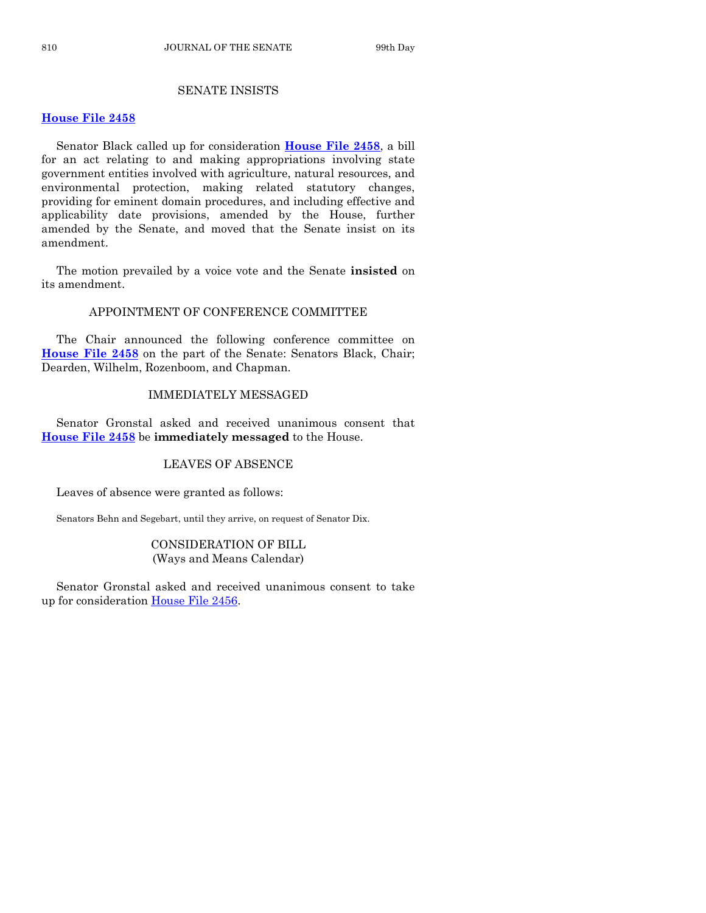# SENATE INSISTS

#### **[House File 2458](http://coolice.legis.iowa.gov/Cool-ICE/default.asp?Category=billinfo&Service=Billbook&frame=1&GA=85&hbill=HF2458)**

Senator Black called up for consideration **[House File 2458](http://coolice.legis.iowa.gov/Cool-ICE/default.asp?Category=billinfo&Service=Billbook&frame=1&GA=85&hbill=HF2458)**, a bill for an act relating to and making appropriations involving state government entities involved with agriculture, natural resources, and environmental protection, making related statutory changes, providing for eminent domain procedures, and including effective and applicability date provisions, amended by the House, further amended by the Senate, and moved that the Senate insist on its amendment.

The motion prevailed by a voice vote and the Senate **insisted** on its amendment.

# APPOINTMENT OF CONFERENCE COMMITTEE

The Chair announced the following conference committee on **[House File 2458](http://coolice.legis.iowa.gov/Cool-ICE/default.asp?Category=billinfo&Service=Billbook&frame=1&GA=85&hbill=HF2458)** on the part of the Senate: Senators Black, Chair; Dearden, Wilhelm, Rozenboom, and Chapman.

# IMMEDIATELY MESSAGED

Senator Gronstal asked and received unanimous consent that **[House File 2458](http://coolice.legis.iowa.gov/Cool-ICE/default.asp?Category=billinfo&Service=Billbook&frame=1&GA=85&hbill=HF2458)** be **immediately messaged** to the House.

# LEAVES OF ABSENCE

Leaves of absence were granted as follows:

Senators Behn and Segebart, until they arrive, on request of Senator Dix.

# CONSIDERATION OF BILL (Ways and Means Calendar)

Senator Gronstal asked and received unanimous consent to take up for consideration [House File 2456.](http://coolice.legis.iowa.gov/Cool-ICE/default.asp?Category=billinfo&Service=Billbook&frame=1&GA=85&hbill=HF2456)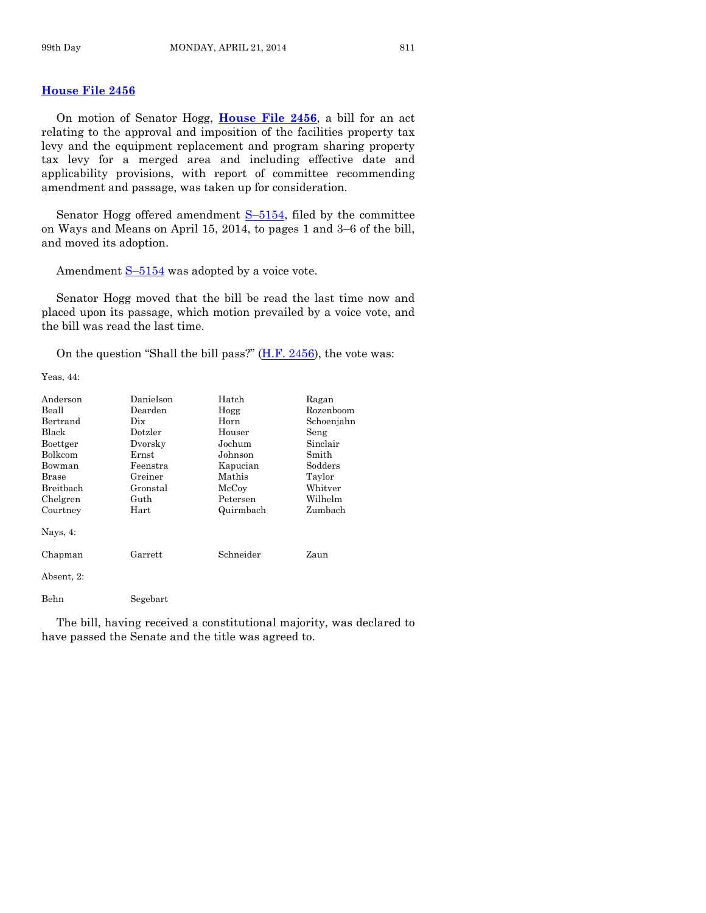# **[House File 2456](http://coolice.legis.iowa.gov/Cool-ICE/default.asp?Category=billinfo&Service=Billbook&frame=1&GA=85&hbill=HF2456)**

On motion of Senator Hogg, **[House File 2456](http://coolice.legis.iowa.gov/Cool-ICE/default.asp?Category=billinfo&Service=Billbook&frame=1&GA=85&hbill=HF2456)**, a bill for an act relating to the approval and imposition of the facilities property tax levy and the equipment replacement and program sharing property tax levy for a merged area and including effective date and applicability provisions, with report of committee recommending amendment and passage, was taken up for consideration.

Senator Hogg offered amendment  $S-5154$ , filed by the committee on Ways and Means on April 15, 2014, to pages 1 and 3–6 of the bill, and moved its adoption.

Amendment  $S-5154$  $S-5154$  was adopted by a voice vote.

Senator Hogg moved that the bill be read the last time now and placed upon its passage, which motion prevailed by a voice vote, and the bill was read the last time.

On the question "Shall the bill pass?"  $(H.F. 2456)$ , the vote was:

Yeas, 44:

| Anderson    | Danielson      | Hatch     | Ragan      |
|-------------|----------------|-----------|------------|
| Beall       | Dearden        | Hogg      | Rozenboom  |
| Bertrand    | Dix            | Horn      | Schoenjahn |
| Black       | Dotzler        | Houser    | Seng       |
| Boettger    | Dvorsky        | Jochum    | Sinclair   |
| Bolkcom     | Ernst          | Johnson   | Smith      |
| Bowman      | Feenstra       | Kapucian  | Sodders    |
| Brase       | Greiner        | Mathis    | Taylor     |
| Breitbach   | Gronstal       | McCoy     | Whitver    |
| Chelgren    | Guth           | Petersen  | Wilhelm    |
| Courtney    | Hart           | Quirmbach | Zumbach    |
| Nays, $4$ : |                |           |            |
| Chapman     | $\rm{Garrett}$ | Schneider | Zaun       |
| Absent, 2:  |                |           |            |
| Behn        | Segebart       |           |            |

The bill, having received a constitutional majority, was declared to have passed the Senate and the title was agreed to.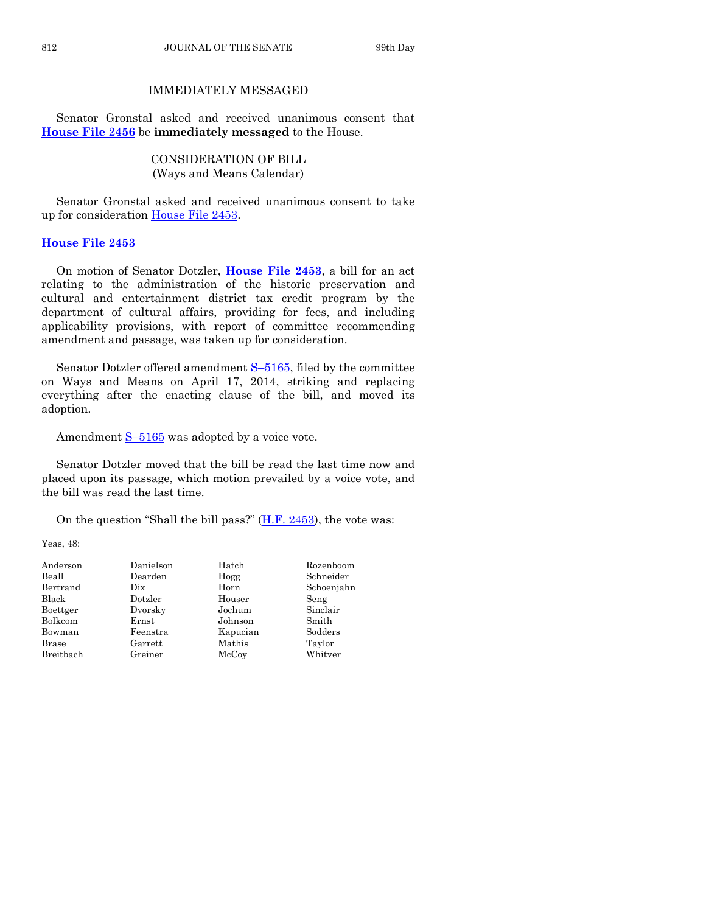# IMMEDIATELY MESSAGED

Senator Gronstal asked and received unanimous consent that **[House File 2456](http://coolice.legis.iowa.gov/Cool-ICE/default.asp?Category=billinfo&Service=Billbook&frame=1&GA=85&hbill=HF2456)** be **immediately messaged** to the House.

> CONSIDERATION OF BILL (Ways and Means Calendar)

Senator Gronstal asked and received unanimous consent to take up for consideration [House File 2453.](http://coolice.legis.iowa.gov/Cool-ICE/default.asp?Category=billinfo&Service=Billbook&frame=1&GA=85&hbill=HF2453)

# **[House File 2453](http://coolice.legis.iowa.gov/Cool-ICE/default.asp?Category=billinfo&Service=Billbook&frame=1&GA=85&hbill=HF2453)**

On motion of Senator Dotzler, **[House File 2453](http://coolice.legis.iowa.gov/Cool-ICE/default.asp?Category=billinfo&Service=Billbook&frame=1&GA=85&hbill=HF2453)**, a bill for an act relating to the administration of the historic preservation and cultural and entertainment district tax credit program by the department of cultural affairs, providing for fees, and including applicability provisions, with report of committee recommending amendment and passage, was taken up for consideration.

Senator Dotzler offered amendment S-[5165,](http://coolice.legis.iowa.gov/Cool-ICE/default.asp?Category=billinfo&Service=Billbook&frame=1&GA=85&hbill=S5165) filed by the committee on Ways and Means on April 17, 2014, striking and replacing everything after the enacting clause of the bill, and moved its adoption.

Amendment  $S-5165$  $S-5165$  was adopted by a voice vote.

Senator Dotzler moved that the bill be read the last time now and placed upon its passage, which motion prevailed by a voice vote, and the bill was read the last time.

On the question "Shall the bill pass?"  $(H.F. 2453)$ , the vote was:

Yeas, 48:

| Anderson     | Danielson | Hatch    | Rozenboom  |
|--------------|-----------|----------|------------|
| Beall        | Dearden   | Hogg     | Schneider  |
| Bertrand     | Dix       | Horn     | Schoenjahn |
| Black        | Dotzler   | Houser   | Seng       |
| Boettger     | Dvorsky   | Jochum   | Sinclair   |
| Bolkcom      | Ernst     | Johnson  | Smith      |
| Bowman       | Feenstra  | Kapucian | Sodders    |
| <b>Brase</b> | Garrett   | Mathis   | Taylor     |
| Breitbach    | Greiner   | McCoy    | Whitver    |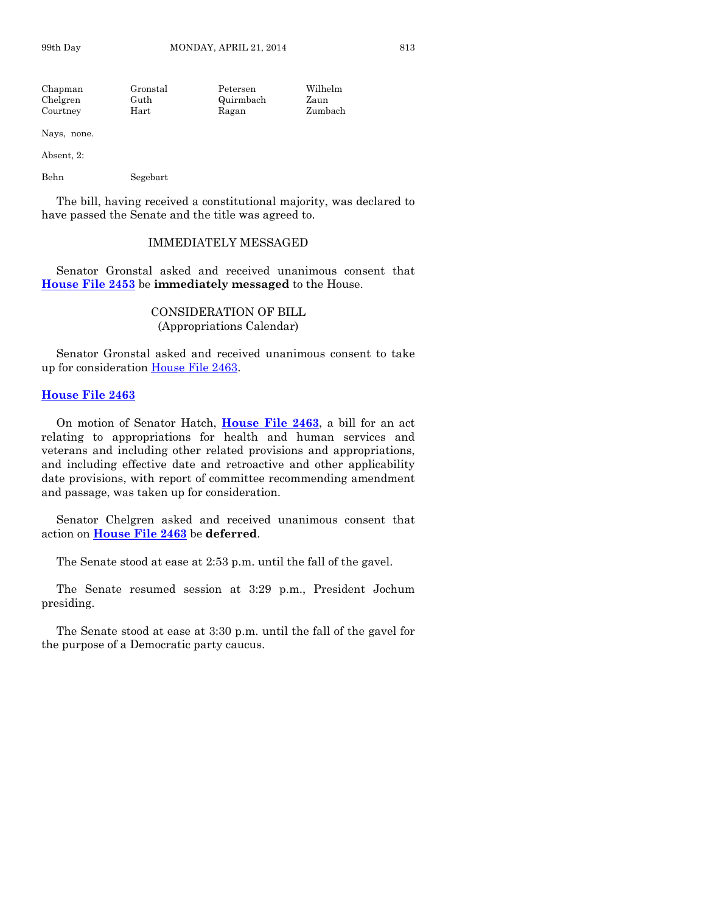| Chapman  | Gronstal | Petersen  | Wilhelm |
|----------|----------|-----------|---------|
| Chelgren | Guth     | Quirmbach | Zaun    |
| Courtney | Hart     | Ragan     | Zumbach |

Nays, none.

Absent, 2:

Behn Segebart

The bill, having received a constitutional majority, was declared to have passed the Senate and the title was agreed to.

#### IMMEDIATELY MESSAGED

Senator Gronstal asked and received unanimous consent that **[House File 2453](http://coolice.legis.iowa.gov/Cool-ICE/default.asp?Category=billinfo&Service=Billbook&frame=1&GA=85&hbill=HF2453)** be **immediately messaged** to the House.

> CONSIDERATION OF BILL (Appropriations Calendar)

Senator Gronstal asked and received unanimous consent to take up for consideration [House File 2463.](http://coolice.legis.iowa.gov/Cool-ICE/default.asp?Category=billinfo&Service=Billbook&frame=1&GA=85&hbill=HF2463)

#### **[House File 2463](http://coolice.legis.iowa.gov/Cool-ICE/default.asp?Category=billinfo&Service=Billbook&frame=1&GA=85&hbill=HF2463)**

On motion of Senator Hatch, **[House File 2463](http://coolice.legis.iowa.gov/Cool-ICE/default.asp?Category=billinfo&Service=Billbook&frame=1&GA=85&hbill=HF2463)**, a bill for an act relating to appropriations for health and human services and veterans and including other related provisions and appropriations, and including effective date and retroactive and other applicability date provisions, with report of committee recommending amendment and passage, was taken up for consideration.

Senator Chelgren asked and received unanimous consent that action on **[House File 2463](http://coolice.legis.iowa.gov/Cool-ICE/default.asp?Category=billinfo&Service=Billbook&frame=1&GA=85&hbill=HF2463)** be **deferred**.

The Senate stood at ease at 2:53 p.m. until the fall of the gavel.

The Senate resumed session at 3:29 p.m., President Jochum presiding.

The Senate stood at ease at 3:30 p.m. until the fall of the gavel for the purpose of a Democratic party caucus.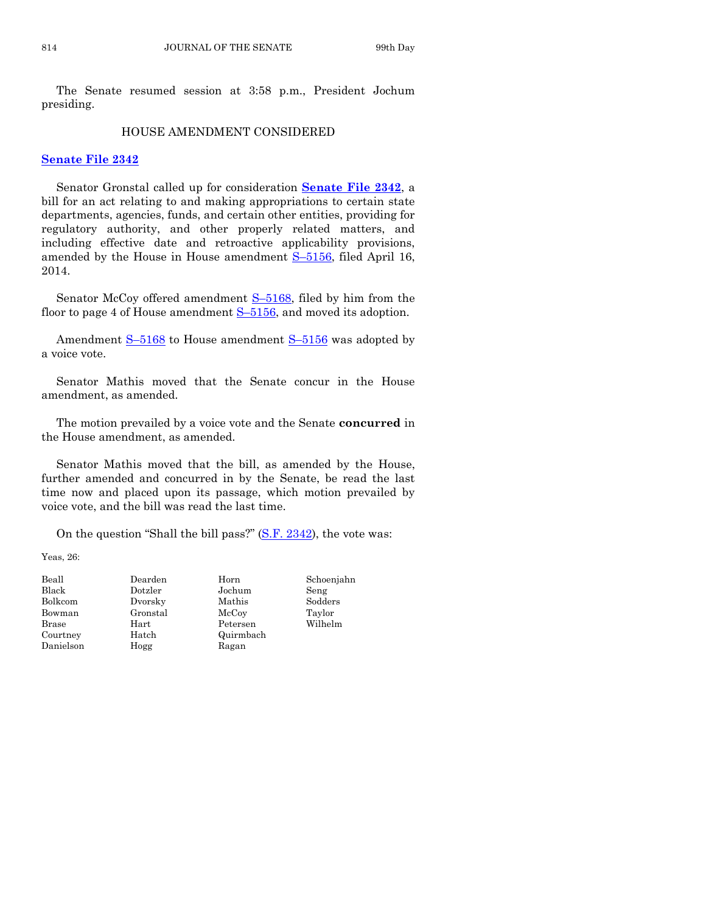The Senate resumed session at 3:58 p.m., President Jochum presiding.

#### HOUSE AMENDMENT CONSIDERED

### **[Senate File 2342](http://coolice.legis.iowa.gov/Cool-ICE/default.asp?Category=billinfo&Service=Billbook&frame=1&GA=85&hbill=SF2342)**

Senator Gronstal called up for consideration **[Senate File 2342](http://coolice.legis.iowa.gov/Cool-ICE/default.asp?Category=billinfo&Service=Billbook&frame=1&GA=85&hbill=SF2342)**, a bill for an act relating to and making appropriations to certain state departments, agencies, funds, and certain other entities, providing for regulatory authority, and other properly related matters, and including effective date and retroactive applicability provisions, amended by the House in House amendment S-[5156,](http://coolice.legis.iowa.gov/Cool-ICE/default.asp?Category=billinfo&Service=Billbook&frame=1&GA=85&hbill=S5156) filed April 16, 2014.

Senator McCoy offered amendment **S-5168**, filed by him from the floor to page 4 of House amendment S-[5156,](http://coolice.legis.iowa.gov/Cool-ICE/default.asp?Category=billinfo&Service=Billbook&frame=1&GA=85&hbill=S5156) and moved its adoption.

Amendment S–[5168](http://coolice.legis.iowa.gov/Cool-ICE/default.asp?Category=billinfo&Service=Billbook&frame=1&GA=85&hbill=S5168) to House amendment S–[5156](http://coolice.legis.iowa.gov/Cool-ICE/default.asp?Category=billinfo&Service=Billbook&frame=1&GA=85&hbill=S5156) was adopted by a voice vote.

Senator Mathis moved that the Senate concur in the House amendment, as amended.

The motion prevailed by a voice vote and the Senate **concurred** in the House amendment, as amended.

Senator Mathis moved that the bill, as amended by the House, further amended and concurred in by the Senate, be read the last time now and placed upon its passage, which motion prevailed by voice vote, and the bill was read the last time.

On the question "Shall the bill pass?" [\(S.F. 2342\)](http://coolice.legis.iowa.gov/Cool-ICE/default.asp?Category=billinfo&Service=Billbook&frame=1&GA=85&hbill=SF2342), the vote was:

Yeas, 26:

| Beall     | Dearden  | Horn      | Schoenjahn |
|-----------|----------|-----------|------------|
| Black     | Dotzler  | Jochum    | Seng       |
| Bolkcom   | Dvorsky  | Mathis    | Sodders    |
| Bowman    | Gronstal | McCoy     | Taylor     |
| Brase     | Hart     | Petersen  | Wilhelm    |
| Courtney  | Hatch    | Quirmbach |            |
| Danielson | Hogg     | Ragan     |            |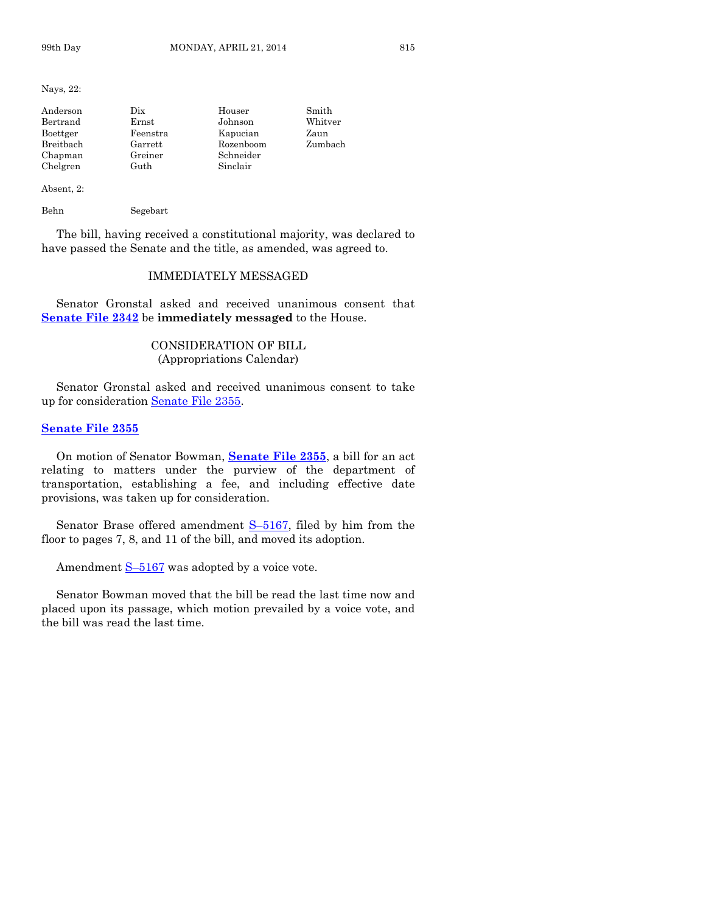Nays, 22:

| Anderson  | $_{\rm \scriptscriptstyle Dix}$ | Houser    | Smith   |
|-----------|---------------------------------|-----------|---------|
| Bertrand  | Ernst                           | Johnson   | Whitver |
| Boettger  | Feenstra                        | Kapucian  | Zaun    |
| Breitbach | Garrett                         | Rozenboom | Zumbach |
| Chapman   | Greiner                         | Schneider |         |
| Chelgren  | Guth                            | Sinclair  |         |

Absent, 2:

Behn Segebart

The bill, having received a constitutional majority, was declared to have passed the Senate and the title, as amended, was agreed to.

# IMMEDIATELY MESSAGED

Senator Gronstal asked and received unanimous consent that **[Senate File 2342](http://coolice.legis.iowa.gov/Cool-ICE/default.asp?Category=billinfo&Service=Billbook&frame=1&GA=85&hbill=SF2342)** be **immediately messaged** to the House.

# CONSIDERATION OF BILL (Appropriations Calendar)

Senator Gronstal asked and received unanimous consent to take up for consideration [Senate File 2355.](http://coolice.legis.iowa.gov/Cool-ICE/default.asp?Category=billinfo&Service=Billbook&frame=1&GA=85&hbill=SF2355)

#### **[Senate File 2355](http://coolice.legis.iowa.gov/Cool-ICE/default.asp?Category=billinfo&Service=Billbook&frame=1&GA=85&hbill=SF2355)**

On motion of Senator Bowman, **[Senate File 2355](http://coolice.legis.iowa.gov/Cool-ICE/default.asp?Category=billinfo&Service=Billbook&frame=1&GA=85&hbill=SF2355)**, a bill for an act relating to matters under the purview of the department of transportation, establishing a fee, and including effective date provisions, was taken up for consideration.

Senator Brase offered amendment S–[5167,](http://coolice.legis.iowa.gov/Cool-ICE/default.asp?Category=billinfo&Service=Billbook&frame=1&GA=85&hbill=S5167) filed by him from the floor to pages 7, 8, and 11 of the bill, and moved its adoption.

Amendment  $S-5167$  $S-5167$  was adopted by a voice vote.

Senator Bowman moved that the bill be read the last time now and placed upon its passage, which motion prevailed by a voice vote, and the bill was read the last time.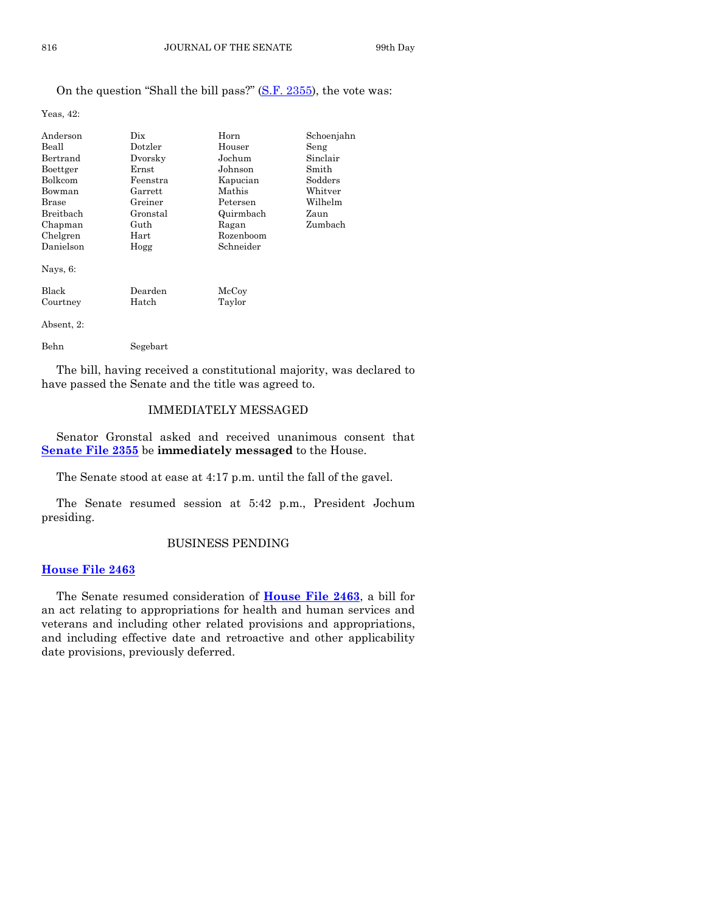# On the question "Shall the bill pass?" [\(S.F. 2355\)](http://coolice.legis.iowa.gov/Cool-ICE/default.asp?Category=billinfo&Service=Billbook&frame=1&GA=85&hbill=SF2355), the vote was:

Yeas, 42:

| Anderson       | Dix      | Horn                | Schoenjahn |
|----------------|----------|---------------------|------------|
| Beall          | Dotzler  | Houser              | Seng       |
| Bertrand       | Dvorsky  | Jochum              | Sinclair   |
| Boettger       | Ernst    | Johnson             | Smith      |
| <b>Bolkcom</b> | Feenstra | Kapucian            | Sodders    |
| Bowman         | Garrett  | Mathis              | Whitver    |
| <b>Brase</b>   | Greiner  | Petersen            | Wilhelm    |
| Breitbach      | Gronstal | Quirmbach           | Zaun       |
| Chapman        | Guth     | Ragan               | Zumbach    |
| Chelgren       | Hart     | Rozenboom           |            |
| Danielson      | Hogg     | Schneider           |            |
| Nays, $6$ :    |          |                     |            |
| Black          | Dearden  | $_{\mathrm{McCov}}$ |            |
| Courtney       | Hatch    | Taylor              |            |
| Absent, 2:     |          |                     |            |
| Behn           | Segebart |                     |            |

The bill, having received a constitutional majority, was declared to have passed the Senate and the title was agreed to.

# IMMEDIATELY MESSAGED

Senator Gronstal asked and received unanimous consent that **[Senate File 2355](http://coolice.legis.iowa.gov/Cool-ICE/default.asp?Category=billinfo&Service=Billbook&frame=1&GA=85&hbill=SF2355)** be **immediately messaged** to the House.

The Senate stood at ease at 4:17 p.m. until the fall of the gavel.

The Senate resumed session at 5:42 p.m., President Jochum presiding.

# BUSINESS PENDING

# **[House File 2463](http://coolice.legis.iowa.gov/Cool-ICE/default.asp?Category=billinfo&Service=Billbook&frame=1&GA=85&hbill=HF2463)**

The Senate resumed consideration of **[House File 2463](http://coolice.legis.iowa.gov/Cool-ICE/default.asp?Category=billinfo&Service=Billbook&frame=1&GA=85&hbill=HF2463)**, a bill for an act relating to appropriations for health and human services and veterans and including other related provisions and appropriations, and including effective date and retroactive and other applicability date provisions, previously deferred.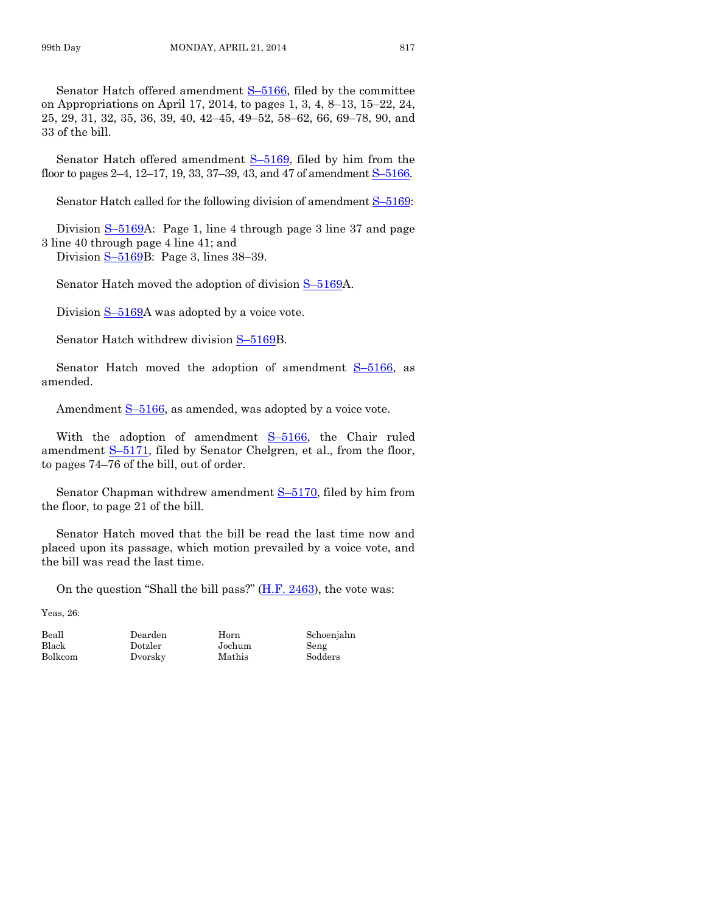Senator Hatch offered amendment S–[5166,](http://coolice.legis.iowa.gov/Cool-ICE/default.asp?Category=billinfo&Service=Billbook&frame=1&GA=85&hbill=S5166) filed by the committee on Appropriations on April 17, 2014, to pages 1, 3, 4, 8–13, 15–22, 24, 25, 29, 31, 32, 35, 36, 39, 40, 42–45, 49–52, 58–62, 66, 69–78, 90, and 33 of the bill.

Senator Hatch offered amendment  $S-5169$ , filed by him from the floor to pages 2–4, 12–17, 19, 33, 37–39, 43, and 47 of amendment S–[5166.](http://coolice.legis.iowa.gov/Cool-ICE/default.asp?Category=billinfo&Service=Billbook&frame=1&GA=85&hbill=S5166)

Senator Hatch called for the following division of amendment  $S-5169$ :

Division  $S-5169A$  $S-5169A$ : Page 1, line 4 through page 3 line 37 and page 3 line 40 through page 4 line 41; and

Division S–[5169B](http://coolice.legis.iowa.gov/Cool-ICE/default.asp?Category=billinfo&Service=Billbook&frame=1&GA=85&hbill=S5169): Page 3, lines 38–39.

Senator Hatch moved the adoption of division  $S-5169A$  $S-5169A$ .

Division S–[5169A](http://coolice.legis.iowa.gov/Cool-ICE/default.asp?Category=billinfo&Service=Billbook&frame=1&GA=85&hbill=S5169) was adopted by a voice vote.

Senator Hatch withdrew division S–[5169B](http://coolice.legis.iowa.gov/Cool-ICE/default.asp?Category=billinfo&Service=Billbook&frame=1&GA=85&hbill=S5169).

Senator Hatch moved the adoption of amendment  $S-5166$ , as amended.

Amendment  $S-5166$ , as amended, was adopted by a voice vote.

With the adoption of amendment S-[5166,](http://coolice.legis.iowa.gov/Cool-ICE/default.asp?Category=billinfo&Service=Billbook&frame=1&GA=85&hbill=S5166) the Chair ruled amendment S-[5171,](http://coolice.legis.iowa.gov/Cool-ICE/default.asp?Category=billinfo&Service=Billbook&frame=1&GA=85&hbill=S5171) filed by Senator Chelgren, et al., from the floor, to pages 74–76 of the bill, out of order.

Senator Chapman withdrew amendment  $S-5170$ , filed by him from the floor, to page 21 of the bill.

Senator Hatch moved that the bill be read the last time now and placed upon its passage, which motion prevailed by a voice vote, and the bill was read the last time.

On the question "Shall the bill pass?" [\(H.F. 2463\)](http://coolice.legis.iowa.gov/Cool-ICE/default.asp?Category=billinfo&Service=Billbook&frame=1&GA=85&hbill=HF2463), the vote was:

Yeas, 26:

Beall Dearden Horn Schoenjahn Black Dotzler Jochum Seng Bolkcom Dvorsky Mathis Sodders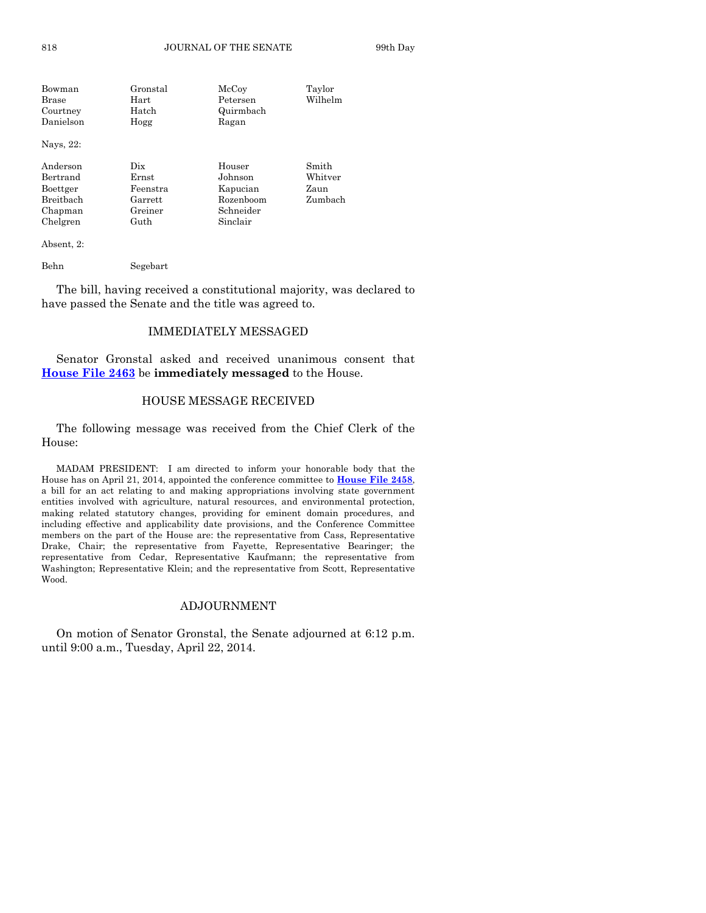| Bowman       | Gronstal    | McCoy     | Taylor  |
|--------------|-------------|-----------|---------|
| <b>Brase</b> | Hart        | Petersen  | Wilhelm |
| Courtney     | Hatch       | Quirmbach |         |
| Danielson    | Hogg        | Ragan     |         |
| Nays, 22:    |             |           |         |
| Anderson     | Dix         | Houser    | Smith   |
| Bertrand     | $\rm Ernst$ | Johnson   | Whitver |
| Boettger     | Feenstra    | Kapucian  | Zaun    |
| Breitbach    | Garrett     | Rozenboom | Zumbach |
| Chapman      | Greiner     | Schneider |         |
| Chelgren     | Guth        | Sinclair  |         |

Absent, 2:

Behn Segebart

The bill, having received a constitutional majority, was declared to have passed the Senate and the title was agreed to.

# IMMEDIATELY MESSAGED

Senator Gronstal asked and received unanimous consent that **[House File 2463](http://coolice.legis.iowa.gov/Cool-ICE/default.asp?Category=billinfo&Service=Billbook&frame=1&GA=85&hbill=HF2463)** be **immediately messaged** to the House.

#### HOUSE MESSAGE RECEIVED

The following message was received from the Chief Clerk of the House:

MADAM PRESIDENT: I am directed to inform your honorable body that the House has on April 21, 2014, appointed the conference committee to **[House File 2458](http://coolice.legis.iowa.gov/Cool-ICE/default.asp?Category=billinfo&Service=Billbook&frame=1&GA=85&hbill=HF2458)**, a bill for an act relating to and making appropriations involving state government entities involved with agriculture, natural resources, and environmental protection, making related statutory changes, providing for eminent domain procedures, and including effective and applicability date provisions, and the Conference Committee members on the part of the House are: the representative from Cass, Representative Drake, Chair; the representative from Fayette, Representative Bearinger; the representative from Cedar, Representative Kaufmann; the representative from Washington; Representative Klein; and the representative from Scott, Representative Wood.

# ADJOURNMENT

On motion of Senator Gronstal, the Senate adjourned at 6:12 p.m. until 9:00 a.m., Tuesday, April 22, 2014.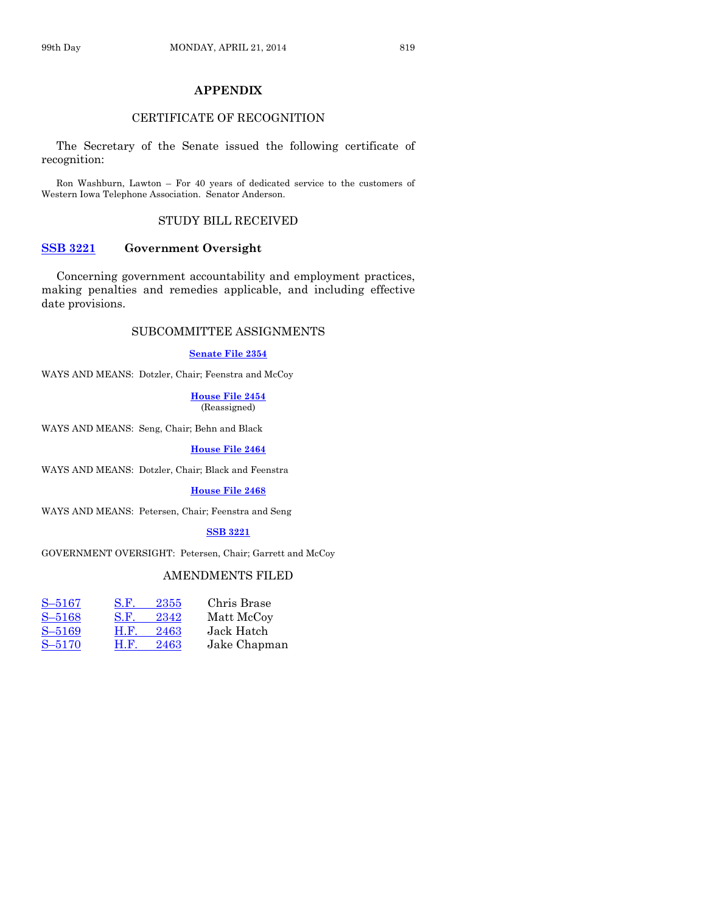# **APPENDIX**

# CERTIFICATE OF RECOGNITION

The Secretary of the Senate issued the following certificate of recognition:

Ron Washburn, Lawton – For 40 years of dedicated service to the customers of Western Iowa Telephone Association. Senator Anderson.

## STUDY BILL RECEIVED

# **[SSB 3221](http://coolice.legis.iowa.gov/Cool-ICE/default.asp?Category=billinfo&Service=Billbook&frame=1&GA=85&hbill=SSB3221) Government Oversight**

Concerning government accountability and employment practices, making penalties and remedies applicable, and including effective date provisions.

# SUBCOMMITTEE ASSIGNMENTS

#### **[Senate File 2354](http://coolice.legis.iowa.gov/Cool-ICE/default.asp?Category=billinfo&Service=Billbook&frame=1&GA=85&hbill=SF2354)**

WAYS AND MEANS: Dotzler, Chair; Feenstra and McCoy

#### **[House](http://coolice.legis.iowa.gov/Cool-ICE/default.asp?Category=billinfo&Service=Billbook&frame=1&GA=85&hbill=HF2454) File 2454** (Reassigned)

WAYS AND MEANS: Seng, Chair; Behn and Black

#### **[House File 2464](http://coolice.legis.iowa.gov/Cool-ICE/default.asp?Category=billinfo&Service=Billbook&frame=1&GA=85&hbill=HF2464)**

WAYS AND MEANS: Dotzler, Chair; Black and Feenstra

### **[House File 2468](http://coolice.legis.iowa.gov/Cool-ICE/default.asp?Category=billinfo&Service=Billbook&frame=1&GA=85&hbill=HF2468)**

WAYS AND MEANS: Petersen, Chair; Feenstra and Seng

# **[SSB 3221](http://coolice.legis.iowa.gov/Cool-ICE/default.asp?Category=billinfo&Service=Billbook&frame=1&GA=85&hbill=SSB3221)**

GOVERNMENT OVERSIGHT: Petersen, Chair; Garrett and McCoy

# AMENDMENTS FILED

| $S - 5167$ | S.F.<br>2355        | Chris Brase  |
|------------|---------------------|--------------|
| $S - 5168$ | S.F.<br>2342        | Matt McCoy   |
| $S - 5169$ | H.F.<br>2463        | Jack Hatch   |
| $S - 5170$ | <b>H.F.</b><br>2463 | Jake Chapman |